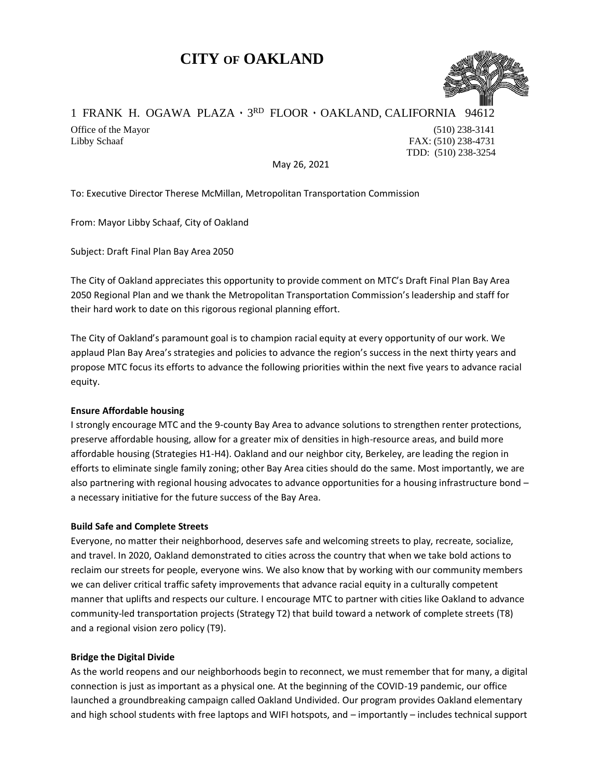# **CITY OF OAKLAND**



## 1 FRANK H. OGAWA PLAZA · 3RD FLOOR · OAKLAND, CALIFORNIA 94612

Office of the Mayor (510) 238-3141 Libby Schaaf FAX: (510) 238-4731 TDD: (510) 238-3254

May 26, 2021

To: Executive Director Therese McMillan, Metropolitan Transportation Commission

From: Mayor Libby Schaaf, City of Oakland

Subject: Draft Final Plan Bay Area 2050

The City of Oakland appreciates this opportunity to provide comment on MTC's Draft Final Plan Bay Area 2050 Regional Plan and we thank the Metropolitan Transportation Commission's leadership and staff for their hard work to date on this rigorous regional planning effort.

The City of Oakland's paramount goal is to champion racial equity at every opportunity of our work. We applaud Plan Bay Area's strategies and policies to advance the region's success in the next thirty years and propose MTC focus its efforts to advance the following priorities within the next five years to advance racial equity.

### **Ensure Affordable housing**

I strongly encourage MTC and the 9-county Bay Area to advance solutions to strengthen renter protections, preserve affordable housing, allow for a greater mix of densities in high-resource areas, and build more affordable housing (Strategies H1-H4). Oakland and our neighbor city, Berkeley, are leading the region in efforts to eliminate single family zoning; other Bay Area cities should do the same. Most importantly, we are also partnering with regional housing advocates to advance opportunities for a housing infrastructure bond – a necessary initiative for the future success of the Bay Area.

### **Build Safe and Complete Streets**

Everyone, no matter their neighborhood, deserves safe and welcoming streets to play, recreate, socialize, and travel. In 2020, Oakland demonstrated to cities across the country that when we take bold actions to reclaim our streets for people, everyone wins. We also know that by working with our community members we can deliver critical traffic safety improvements that advance racial equity in a culturally competent manner that uplifts and respects our culture. I encourage MTC to partner with cities like Oakland to advance community-led transportation projects (Strategy T2) that build toward a network of complete streets (T8) and a regional vision zero policy (T9).

### **Bridge the Digital Divide**

As the world reopens and our neighborhoods begin to reconnect, we must remember that for many, a digital connection is just as important as a physical one. At the beginning of the COVID-19 pandemic, our office launched a groundbreaking campaign called Oakland Undivided. Our program provides Oakland elementary and high school students with free laptops and WIFI hotspots, and – importantly – includes technical support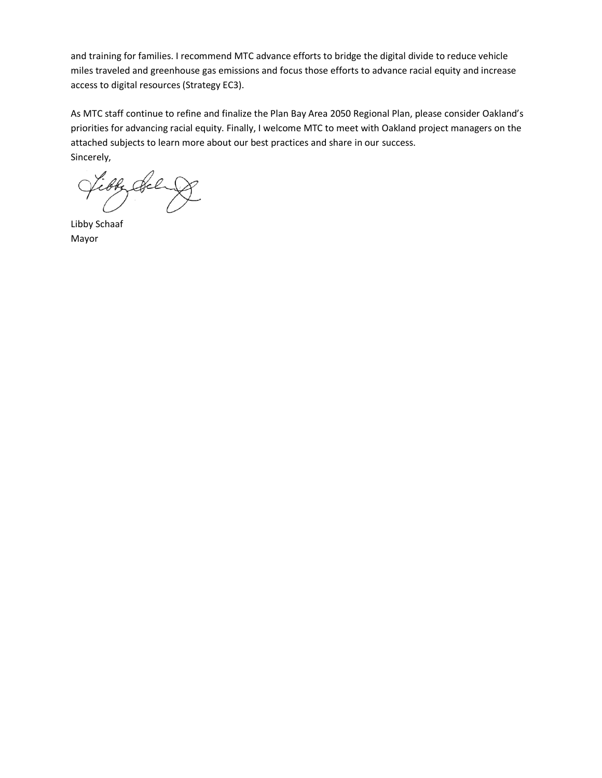and training for families. I recommend MTC advance efforts to bridge the digital divide to reduce vehicle miles traveled and greenhouse gas emissions and focus those efforts to advance racial equity and increase access to digital resources (Strategy EC3).

As MTC staff continue to refine and finalize the Plan Bay Area 2050 Regional Plan, please consider Oakland's priorities for advancing racial equity. Finally, I welcome MTC to meet with Oakland project managers on the attached subjects to learn more about our best practices and share in our success. Sincerely,

ibby Sel

Libby Schaaf Mayor